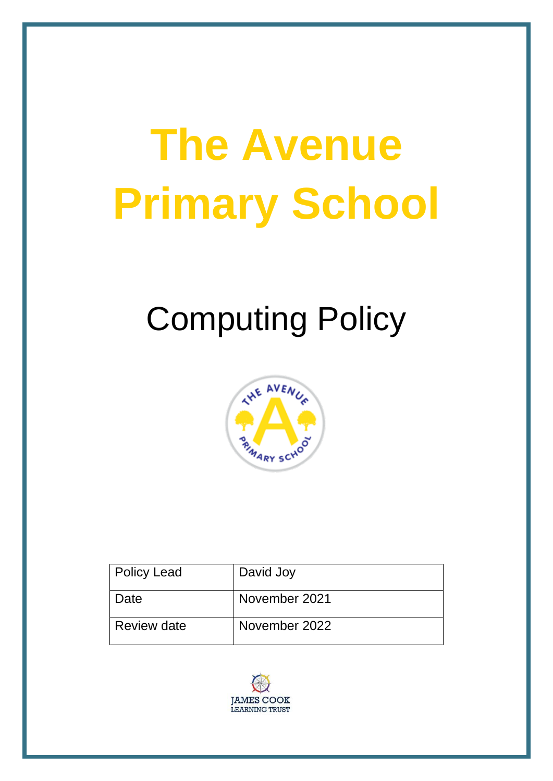# **The Avenue Primary School**

# Computing Policy



| <b>Policy Lead</b> | David Joy     |
|--------------------|---------------|
| Date               | November 2021 |
| Review date        | November 2022 |

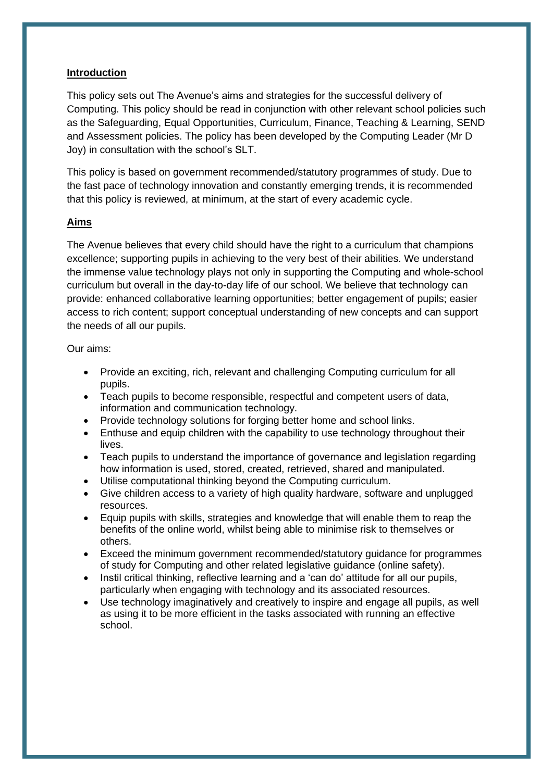#### **Introduction**

This policy sets out The Avenue's aims and strategies for the successful delivery of Computing. This policy should be read in conjunction with other relevant school policies such as the Safeguarding, Equal Opportunities, Curriculum, Finance, Teaching & Learning, SEND and Assessment policies. The policy has been developed by the Computing Leader (Mr D Joy) in consultation with the school's SLT.

This policy is based on government recommended/statutory programmes of study. Due to the fast pace of technology innovation and constantly emerging trends, it is recommended that this policy is reviewed, at minimum, at the start of every academic cycle.

#### **Aims**

The Avenue believes that every child should have the right to a curriculum that champions excellence; supporting pupils in achieving to the very best of their abilities. We understand the immense value technology plays not only in supporting the Computing and whole-school curriculum but overall in the day-to-day life of our school. We believe that technology can provide: enhanced collaborative learning opportunities; better engagement of pupils; easier access to rich content; support conceptual understanding of new concepts and can support the needs of all our pupils.

#### Our aims:

- Provide an exciting, rich, relevant and challenging Computing curriculum for all pupils.
- Teach pupils to become responsible, respectful and competent users of data, information and communication technology.
- Provide technology solutions for forging better home and school links.
- Enthuse and equip children with the capability to use technology throughout their lives.
- Teach pupils to understand the importance of governance and legislation regarding how information is used, stored, created, retrieved, shared and manipulated.
- Utilise computational thinking beyond the Computing curriculum.
- Give children access to a variety of high quality hardware, software and unplugged resources.
- Equip pupils with skills, strategies and knowledge that will enable them to reap the benefits of the online world, whilst being able to minimise risk to themselves or others.
- Exceed the minimum government recommended/statutory guidance for programmes of study for Computing and other related legislative guidance (online safety).
- Instil critical thinking, reflective learning and a 'can do' attitude for all our pupils, particularly when engaging with technology and its associated resources.
- Use technology imaginatively and creatively to inspire and engage all pupils, as well as using it to be more efficient in the tasks associated with running an effective school.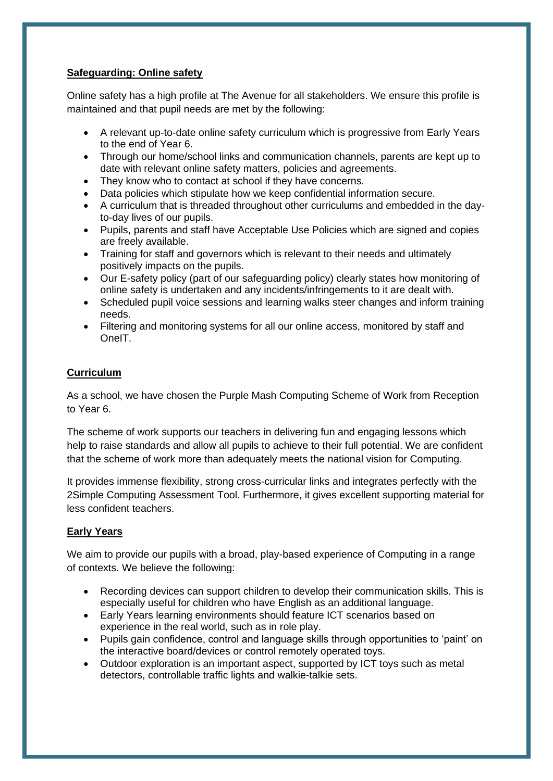### **Safeguarding: Online safety**

Online safety has a high profile at The Avenue for all stakeholders. We ensure this profile is maintained and that pupil needs are met by the following:

- A relevant up-to-date online safety curriculum which is progressive from Early Years to the end of Year 6.
- Through our home/school links and communication channels, parents are kept up to date with relevant online safety matters, policies and agreements.
- They know who to contact at school if they have concerns.
- Data policies which stipulate how we keep confidential information secure.
- A curriculum that is threaded throughout other curriculums and embedded in the dayto-day lives of our pupils.
- Pupils, parents and staff have Acceptable Use Policies which are signed and copies are freely available.
- Training for staff and governors which is relevant to their needs and ultimately positively impacts on the pupils.
- Our E-safety policy (part of our safeguarding policy) clearly states how monitoring of online safety is undertaken and any incidents/infringements to it are dealt with.
- Scheduled pupil voice sessions and learning walks steer changes and inform training needs.
- Filtering and monitoring systems for all our online access, monitored by staff and OneIT.

# **Curriculum**

As a school, we have chosen the Purple Mash Computing Scheme of Work from Reception to Year 6.

The scheme of work supports our teachers in delivering fun and engaging lessons which help to raise standards and allow all pupils to achieve to their full potential. We are confident that the scheme of work more than adequately meets the national vision for Computing.

It provides immense flexibility, strong cross-curricular links and integrates perfectly with the 2Simple Computing Assessment Tool. Furthermore, it gives excellent supporting material for less confident teachers.

# **Early Years**

We aim to provide our pupils with a broad, play-based experience of Computing in a range of contexts. We believe the following:

- Recording devices can support children to develop their communication skills. This is especially useful for children who have English as an additional language.
- Early Years learning environments should feature ICT scenarios based on experience in the real world, such as in role play.
- Pupils gain confidence, control and language skills through opportunities to 'paint' on the interactive board/devices or control remotely operated toys.
- Outdoor exploration is an important aspect, supported by ICT toys such as metal detectors, controllable traffic lights and walkie-talkie sets.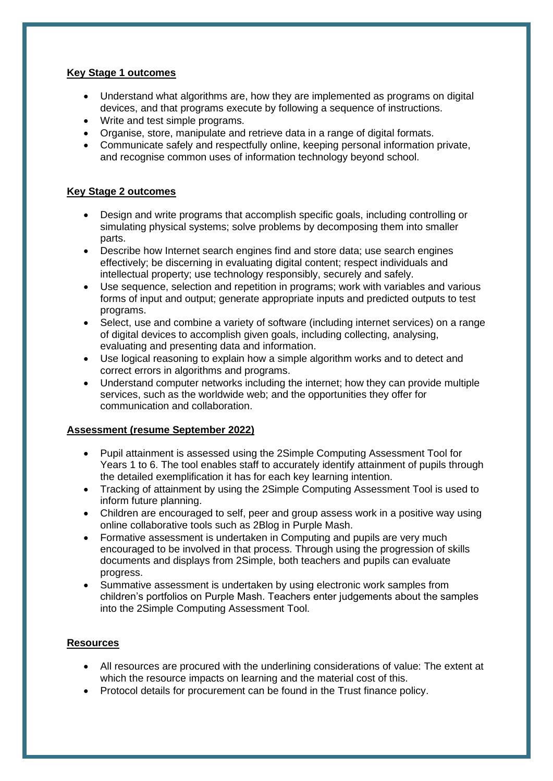#### **Key Stage 1 outcomes**

- Understand what algorithms are, how they are implemented as programs on digital devices, and that programs execute by following a sequence of instructions.
- Write and test simple programs.
- Organise, store, manipulate and retrieve data in a range of digital formats.
- Communicate safely and respectfully online, keeping personal information private, and recognise common uses of information technology beyond school.

#### **Key Stage 2 outcomes**

- Design and write programs that accomplish specific goals, including controlling or simulating physical systems; solve problems by decomposing them into smaller parts.
- Describe how Internet search engines find and store data; use search engines effectively; be discerning in evaluating digital content; respect individuals and intellectual property; use technology responsibly, securely and safely.
- Use sequence, selection and repetition in programs; work with variables and various forms of input and output; generate appropriate inputs and predicted outputs to test programs.
- Select, use and combine a variety of software (including internet services) on a range of digital devices to accomplish given goals, including collecting, analysing, evaluating and presenting data and information.
- Use logical reasoning to explain how a simple algorithm works and to detect and correct errors in algorithms and programs.
- Understand computer networks including the internet; how they can provide multiple services, such as the worldwide web; and the opportunities they offer for communication and collaboration.

#### **Assessment (resume September 2022)**

- Pupil attainment is assessed using the 2Simple Computing Assessment Tool for Years 1 to 6. The tool enables staff to accurately identify attainment of pupils through the detailed exemplification it has for each key learning intention.
- Tracking of attainment by using the 2Simple Computing Assessment Tool is used to inform future planning.
- Children are encouraged to self, peer and group assess work in a positive way using online collaborative tools such as 2Blog in Purple Mash.
- Formative assessment is undertaken in Computing and pupils are very much encouraged to be involved in that process. Through using the progression of skills documents and displays from 2Simple, both teachers and pupils can evaluate progress.
- Summative assessment is undertaken by using electronic work samples from children's portfolios on Purple Mash. Teachers enter judgements about the samples into the 2Simple Computing Assessment Tool.

#### **Resources**

- All resources are procured with the underlining considerations of value: The extent at which the resource impacts on learning and the material cost of this.
- Protocol details for procurement can be found in the Trust finance policy.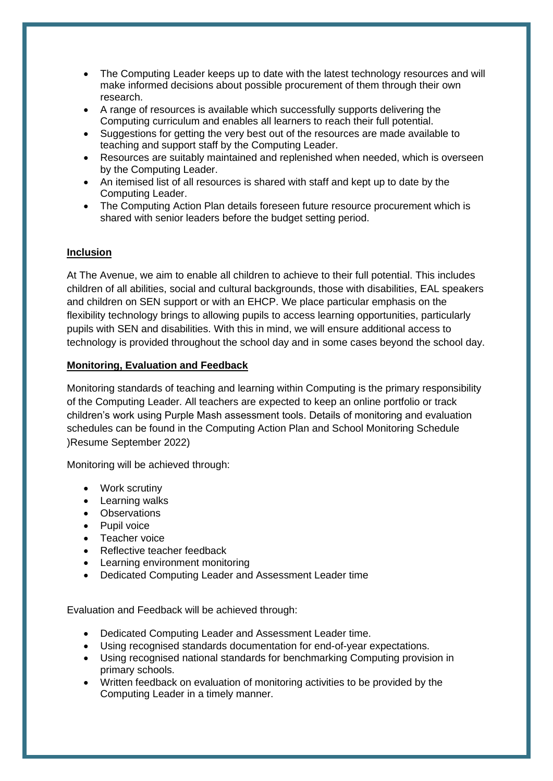- The Computing Leader keeps up to date with the latest technology resources and will make informed decisions about possible procurement of them through their own research.
- A range of resources is available which successfully supports delivering the Computing curriculum and enables all learners to reach their full potential.
- Suggestions for getting the very best out of the resources are made available to teaching and support staff by the Computing Leader.
- Resources are suitably maintained and replenished when needed, which is overseen by the Computing Leader.
- An itemised list of all resources is shared with staff and kept up to date by the Computing Leader.
- The Computing Action Plan details foreseen future resource procurement which is shared with senior leaders before the budget setting period.

#### **Inclusion**

At The Avenue, we aim to enable all children to achieve to their full potential. This includes children of all abilities, social and cultural backgrounds, those with disabilities, EAL speakers and children on SEN support or with an EHCP. We place particular emphasis on the flexibility technology brings to allowing pupils to access learning opportunities, particularly pupils with SEN and disabilities. With this in mind, we will ensure additional access to technology is provided throughout the school day and in some cases beyond the school day.

#### **Monitoring, Evaluation and Feedback**

Monitoring standards of teaching and learning within Computing is the primary responsibility of the Computing Leader. All teachers are expected to keep an online portfolio or track children's work using Purple Mash assessment tools. Details of monitoring and evaluation schedules can be found in the Computing Action Plan and School Monitoring Schedule )Resume September 2022)

Monitoring will be achieved through:

- Work scrutiny
- Learning walks
- Observations
- Pupil voice
- Teacher voice
- Reflective teacher feedback
- Learning environment monitoring
- Dedicated Computing Leader and Assessment Leader time

Evaluation and Feedback will be achieved through:

- Dedicated Computing Leader and Assessment Leader time.
- Using recognised standards documentation for end-of-year expectations.
- Using recognised national standards for benchmarking Computing provision in primary schools.
- Written feedback on evaluation of monitoring activities to be provided by the Computing Leader in a timely manner.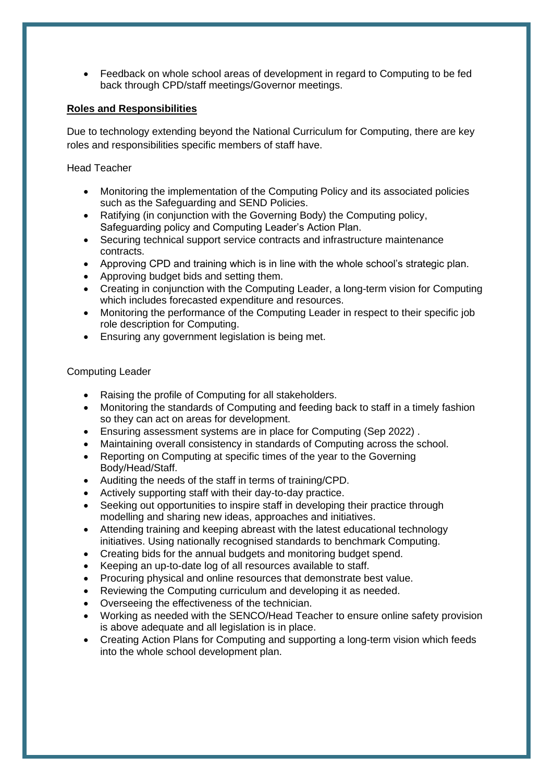• Feedback on whole school areas of development in regard to Computing to be fed back through CPD/staff meetings/Governor meetings.

### **Roles and Responsibilities**

Due to technology extending beyond the National Curriculum for Computing, there are key roles and responsibilities specific members of staff have.

Head Teacher

- Monitoring the implementation of the Computing Policy and its associated policies such as the Safeguarding and SEND Policies.
- Ratifying (in conjunction with the Governing Body) the Computing policy, Safeguarding policy and Computing Leader's Action Plan.
- Securing technical support service contracts and infrastructure maintenance contracts.
- Approving CPD and training which is in line with the whole school's strategic plan.
- Approving budget bids and setting them.
- Creating in conjunction with the Computing Leader, a long-term vision for Computing which includes forecasted expenditure and resources.
- Monitoring the performance of the Computing Leader in respect to their specific job role description for Computing.
- Ensuring any government legislation is being met.

#### Computing Leader

- Raising the profile of Computing for all stakeholders.
- Monitoring the standards of Computing and feeding back to staff in a timely fashion so they can act on areas for development.
- Ensuring assessment systems are in place for Computing (Sep 2022) .
- Maintaining overall consistency in standards of Computing across the school.
- Reporting on Computing at specific times of the year to the Governing Body/Head/Staff.
- Auditing the needs of the staff in terms of training/CPD.
- Actively supporting staff with their day-to-day practice.
- Seeking out opportunities to inspire staff in developing their practice through modelling and sharing new ideas, approaches and initiatives.
- Attending training and keeping abreast with the latest educational technology initiatives. Using nationally recognised standards to benchmark Computing.
- Creating bids for the annual budgets and monitoring budget spend.
- Keeping an up-to-date log of all resources available to staff.
- Procuring physical and online resources that demonstrate best value.
- Reviewing the Computing curriculum and developing it as needed.
- Overseeing the effectiveness of the technician.
- Working as needed with the SENCO/Head Teacher to ensure online safety provision is above adequate and all legislation is in place.
- Creating Action Plans for Computing and supporting a long-term vision which feeds into the whole school development plan.